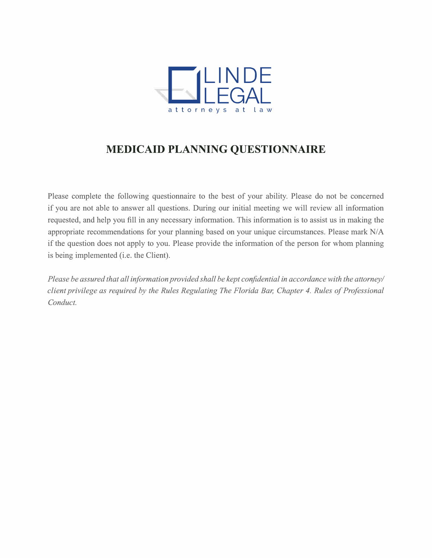

### **MEDICAID PLANNING QUESTIONNAIRE**

Please complete the following questionnaire to the best of your ability. Please do not be concerned if you are not able to answer all questions. During our initial meeting we will review all information requested, and help you fill in any necessary information. This information is to assist us in making the appropriate recommendations for your planning based on your unique circumstances. Please mark *NI* A if the question does not apply to you. Please provide the information of the person for whom planning is being implemented (i.e. the Client).

*Please be assured that all information provided shall be kept confidential in accordance with the attorney/ client privilege as required by the Rules Regulating The Florida Bar, Chapter 4. Rules of Professional Conduct.*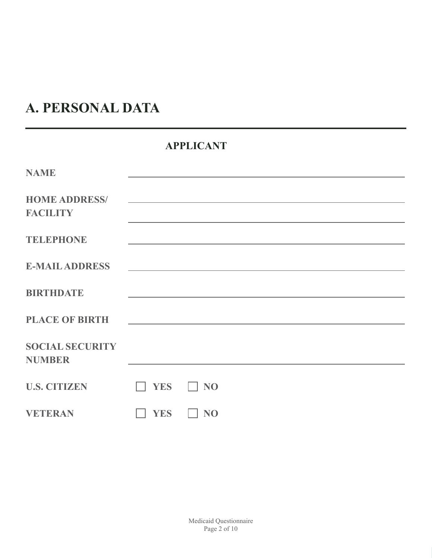# **A. PERSONAL DATA**

### **APPLICANT**

| <b>NAME</b>                             |                                                                                                                       |           |                                                                                                           |                                                                                                                       |  |
|-----------------------------------------|-----------------------------------------------------------------------------------------------------------------------|-----------|-----------------------------------------------------------------------------------------------------------|-----------------------------------------------------------------------------------------------------------------------|--|
| <b>HOME ADDRESS/</b><br><b>FACILITY</b> |                                                                                                                       |           |                                                                                                           | <u> 1989 - Johann Stoff, deutscher Stoff, der Stoff, der Stoff, der Stoff, der Stoff, der Stoff, der Stoff, der S</u> |  |
| <b>TELEPHONE</b>                        |                                                                                                                       |           |                                                                                                           | <u> 1989 - Johann Stoff, amerikansk politiker (* 1908)</u>                                                            |  |
| <b>E-MAIL ADDRESS</b>                   |                                                                                                                       |           | <u> 1989 - Johann John Stone, markin sanat masjid asl nashrida asl nashrida asl nashrida asl nashrida</u> |                                                                                                                       |  |
| <b>BIRTHDATE</b>                        |                                                                                                                       |           |                                                                                                           |                                                                                                                       |  |
| <b>PLACE OF BIRTH</b>                   | <u> 1989 - Johann Stoff, deutscher Stoff, der Stoff, der Stoff, der Stoff, der Stoff, der Stoff, der Stoff, der S</u> |           |                                                                                                           |                                                                                                                       |  |
| <b>SOCIAL SECURITY</b><br><b>NUMBER</b> |                                                                                                                       |           |                                                                                                           |                                                                                                                       |  |
| <b>U.S. CITIZEN</b>                     | <b>YES</b>                                                                                                            | $\Box$ NO |                                                                                                           |                                                                                                                       |  |
| <b>VETERAN</b>                          | <b>YES</b>                                                                                                            | <b>NO</b> |                                                                                                           |                                                                                                                       |  |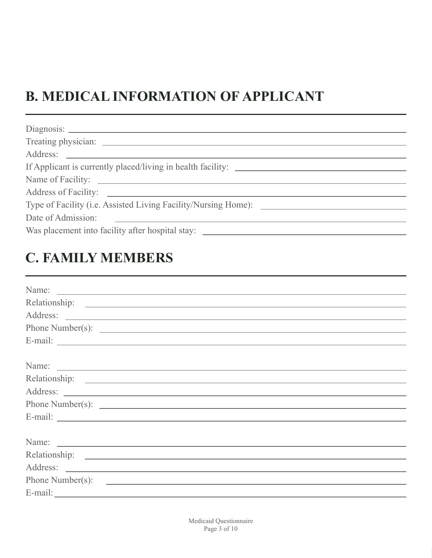# **B. MEDICAL INFORMATION OF APPLICANT**

| Name of Facility:                                                                   |
|-------------------------------------------------------------------------------------|
|                                                                                     |
|                                                                                     |
| Date of Admission:<br><u> 1989 - Andrea Station, Amerikaansk politiker († 1908)</u> |
| Was placement into facility after hospital stay: _______________________________    |
|                                                                                     |

### **C. FAMILY MEMBERS**

| Name:            |  |  |
|------------------|--|--|
|                  |  |  |
|                  |  |  |
|                  |  |  |
|                  |  |  |
|                  |  |  |
|                  |  |  |
|                  |  |  |
|                  |  |  |
|                  |  |  |
|                  |  |  |
|                  |  |  |
|                  |  |  |
|                  |  |  |
|                  |  |  |
| Phone Number(s): |  |  |
|                  |  |  |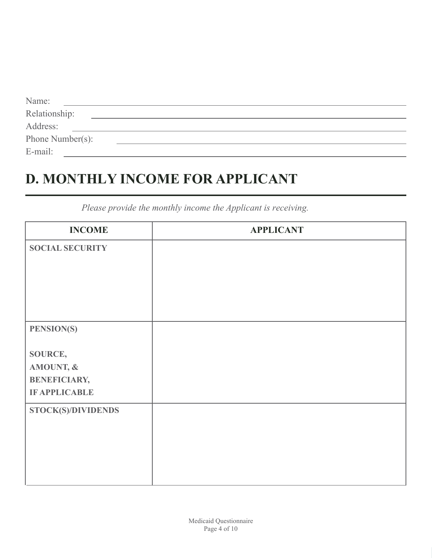| Name:            |  |  |
|------------------|--|--|
| Relationship:    |  |  |
| Address:         |  |  |
| Phone Number(s): |  |  |
| E-mail:          |  |  |

## **D. MONTHLY INCOME FOR APPLICANT**

**INCOME SOCIAL SECURITY STOCK(S)/DIVIDENDS PENSION(S) SOURCE, AMOUNT, & BENEFICIARY, IF APPLICABLE APPLICANT**

*Please provide the monthly income the Applicant is receiving.*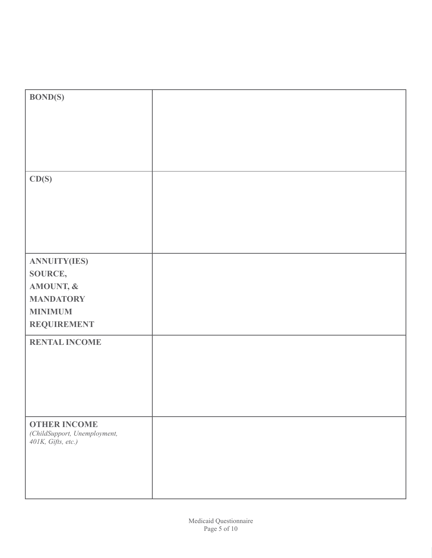| <b>BOND(S)</b>                                                               |  |
|------------------------------------------------------------------------------|--|
|                                                                              |  |
|                                                                              |  |
|                                                                              |  |
|                                                                              |  |
| CD(S)                                                                        |  |
|                                                                              |  |
|                                                                              |  |
|                                                                              |  |
|                                                                              |  |
| <b>ANNUITY(IES)</b>                                                          |  |
| <b>SOURCE,</b>                                                               |  |
| AMOUNT, &                                                                    |  |
| <b>MANDATORY</b>                                                             |  |
| <b>MINIMUM</b>                                                               |  |
| <b>REQUIREMENT</b>                                                           |  |
| <b>RENTAL INCOME</b>                                                         |  |
|                                                                              |  |
|                                                                              |  |
|                                                                              |  |
|                                                                              |  |
| <b>OTHER INCOME</b><br>(ChildSupport, Unemployment,<br>$401K$ , Gifts, etc.) |  |
|                                                                              |  |
|                                                                              |  |
|                                                                              |  |
|                                                                              |  |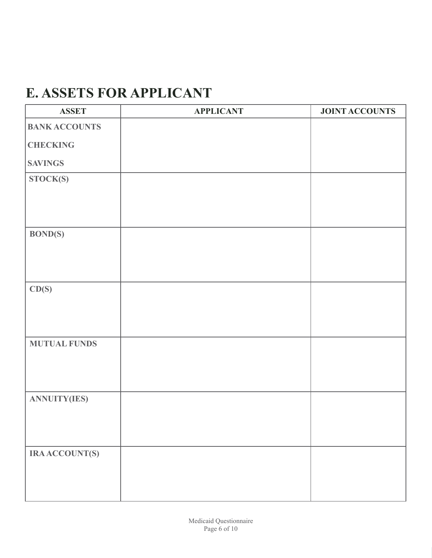## **E. ASSETS FOR APPLICANT**

| <b>ASSET</b>         | <b>APPLICANT</b> | <b>JOINT ACCOUNTS</b> |
|----------------------|------------------|-----------------------|
| <b>BANK ACCOUNTS</b> |                  |                       |
| <b>CHECKING</b>      |                  |                       |
| <b>SAVINGS</b>       |                  |                       |
| STOCK(S)             |                  |                       |
|                      |                  |                       |
| <b>BOND(S)</b>       |                  |                       |
| CD(S)                |                  |                       |
| <b>MUTUAL FUNDS</b>  |                  |                       |
| <b>ANNUITY(IES)</b>  |                  |                       |
| <b>IRAACCOUNT(S)</b> |                  |                       |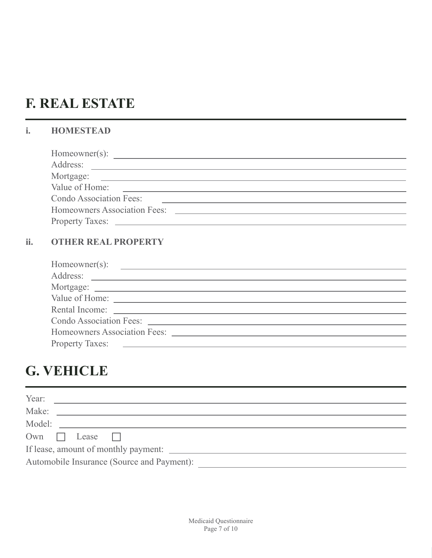## **F. REAL ESTATE**

### **i. HOMESTEAD**

| Value of Home:                 |                                     |  |
|--------------------------------|-------------------------------------|--|
| <b>Condo Association Fees:</b> |                                     |  |
|                                | <b>Homeowners Association Fees:</b> |  |
|                                |                                     |  |
|                                |                                     |  |

#### **ii. OTHER REAL PROPERTY**

| $Homewner(s)$ : |
|-----------------|
|                 |
|                 |
|                 |
|                 |
|                 |
|                 |
|                 |
|                 |

### **G. VEHICLE**

| Year:                                      |
|--------------------------------------------|
| Make:                                      |
| Model:                                     |
| $Own$ $\Box$<br>Lease                      |
| If lease, amount of monthly payment:       |
| Automobile Insurance (Source and Payment): |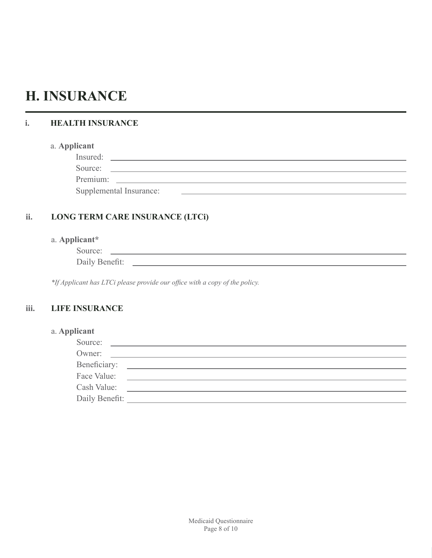### **H. INSURANCE**

#### **i. HEALTH INSURANCE**

#### a. **Applicant**

| Insured: |  |
|----------|--|
| Source:  |  |
| Premium: |  |

Supplemental Insurance:

#### **ii. LONG TERM CARE INSURANCE (LTCi)**

#### a. **Applicant\***

Source: \_

Daily Beneft:

\*If Applicant has LTCi please provide our office with a copy of the policy.

#### **iii. LIFE INSURANCE**

#### a. **Applicant**

| Source:        |  |
|----------------|--|
| Owner:         |  |
| Beneficiary:   |  |
| Face Value:    |  |
| Cash Value:    |  |
| Daily Benefit: |  |

<u> 1980 - Johann Barn, fransk politik (f. 1980)</u>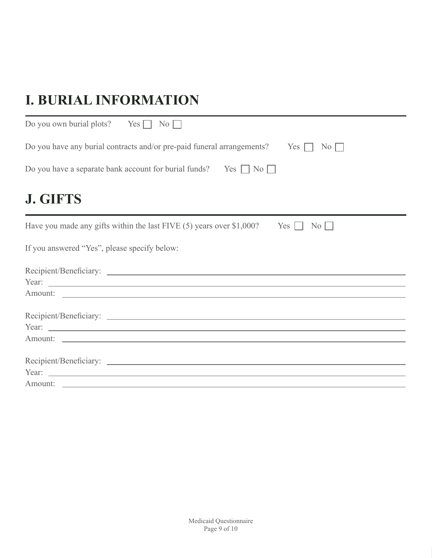# **I. BURIAL INFORMATION**

| Do you own burial plots? Yes $\Box$ No $\Box$                                                            |
|----------------------------------------------------------------------------------------------------------|
| Do you have any burial contracts and/or pre-paid funeral arrangements?<br>Yes $\Box$<br>$\overline{N_0}$ |
| Do you have a separate bank account for burial funds? Yes $\Box$ No $\Box$                               |
| <b>J. GIFTS</b>                                                                                          |
| Have you made any gifts within the last FIVE $(5)$ years over \$1,000?<br>$Yes \Box$<br>No               |
| If you answered "Yes", please specify below:                                                             |
|                                                                                                          |
|                                                                                                          |
|                                                                                                          |
|                                                                                                          |
|                                                                                                          |
|                                                                                                          |
|                                                                                                          |
|                                                                                                          |
| Amount:                                                                                                  |